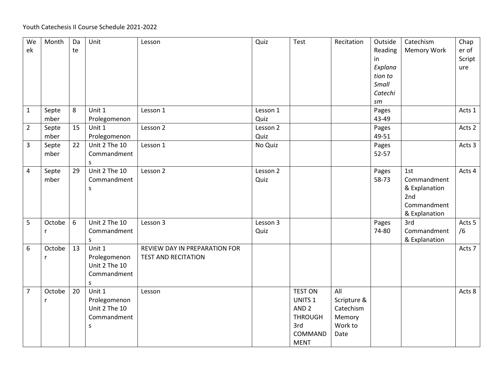| We<br>ek       | Month         | Da<br>te | Unit                                                         | Lesson                                                      | Quiz             | Test                                                                                                        | Recitation                                                   | Outside<br>Reading<br>in<br>Explana<br>tion to<br>Small<br>Catechi<br>$\emph{sm}$ | Catechism<br>Memory Work                                                   | Chap<br>er of<br>Script<br>ure |
|----------------|---------------|----------|--------------------------------------------------------------|-------------------------------------------------------------|------------------|-------------------------------------------------------------------------------------------------------------|--------------------------------------------------------------|-----------------------------------------------------------------------------------|----------------------------------------------------------------------------|--------------------------------|
| $\mathbf{1}$   | Septe<br>mber | 8        | Unit 1<br>Prolegomenon                                       | Lesson 1                                                    | Lesson 1<br>Quiz |                                                                                                             |                                                              | Pages<br>43-49                                                                    |                                                                            | Acts 1                         |
| $\overline{2}$ | Septe<br>mber | 15       | Unit 1<br>Prolegomenon                                       | Lesson 2                                                    | Lesson 2<br>Quiz |                                                                                                             |                                                              | Pages<br>49-51                                                                    |                                                                            | Acts 2                         |
| 3              | Septe<br>mber | 22       | Unit 2 The 10<br>Commandment<br>S.                           | Lesson 1                                                    | No Quiz          |                                                                                                             |                                                              | Pages<br>52-57                                                                    |                                                                            | Acts 3                         |
| 4              | Septe<br>mber | 29       | Unit 2 The 10<br>Commandment<br>S                            | Lesson 2                                                    | Lesson 2<br>Quiz |                                                                                                             |                                                              | Pages<br>58-73                                                                    | 1st<br>Commandment<br>& Explanation<br>2nd<br>Commandment<br>& Explanation | Acts 4                         |
| 5              | Octobe<br>r   | 6        | Unit 2 The 10<br>Commandment<br>S.                           | Lesson 3                                                    | Lesson 3<br>Quiz |                                                                                                             |                                                              | Pages<br>74-80                                                                    | 3rd<br>Commandment<br>& Explanation                                        | Acts 5<br>/6                   |
| 6              | Octobe<br>r   | 13       | Unit 1<br>Prolegomenon<br>Unit 2 The 10<br>Commandment<br>S. | REVIEW DAY IN PREPARATION FOR<br><b>TEST AND RECITATION</b> |                  |                                                                                                             |                                                              |                                                                                   |                                                                            | Acts 7                         |
| $\overline{7}$ | Octobe<br>r   | 20       | Unit 1<br>Prolegomenon<br>Unit 2 The 10<br>Commandment<br>S  | Lesson                                                      |                  | <b>TEST ON</b><br>UNITS <sub>1</sub><br>AND <sub>2</sub><br><b>THROUGH</b><br>3rd<br>COMMAND<br><b>MENT</b> | All<br>Scripture &<br>Catechism<br>Memory<br>Work to<br>Date |                                                                                   |                                                                            | Acts 8                         |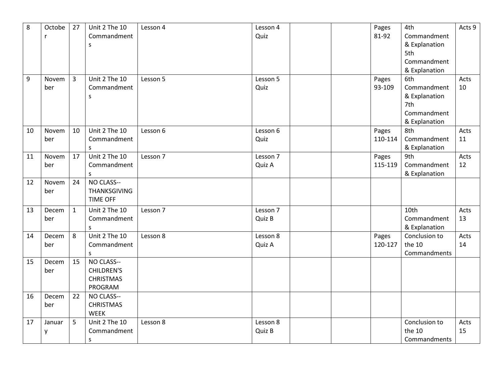| 8  | Octobe | 27          | Unit 2 The 10       | Lesson 4 | Lesson 4 |  | Pages   | 4th           | Acts 9 |
|----|--------|-------------|---------------------|----------|----------|--|---------|---------------|--------|
|    | r      |             | Commandment         |          | Quiz     |  | 81-92   | Commandment   |        |
|    |        |             | S                   |          |          |  |         | & Explanation |        |
|    |        |             |                     |          |          |  |         | 5th           |        |
|    |        |             |                     |          |          |  |         | Commandment   |        |
|    |        |             |                     |          |          |  |         | & Explanation |        |
| 9  | Novem  | 3           | Unit 2 The 10       | Lesson 5 | Lesson 5 |  | Pages   | 6th           | Acts   |
|    | ber    |             | Commandment         |          | Quiz     |  | 93-109  | Commandment   | 10     |
|    |        |             | S                   |          |          |  |         | & Explanation |        |
|    |        |             |                     |          |          |  |         | 7th           |        |
|    |        |             |                     |          |          |  |         | Commandment   |        |
|    |        |             |                     |          |          |  |         | & Explanation |        |
| 10 | Novem  | 10          | Unit 2 The 10       | Lesson 6 | Lesson 6 |  | Pages   | 8th           | Acts   |
|    | ber    |             | Commandment         |          | Quiz     |  | 110-114 | Commandment   | 11     |
|    |        |             | s                   |          |          |  |         | & Explanation |        |
| 11 | Novem  | 17          | Unit 2 The 10       | Lesson 7 | Lesson 7 |  | Pages   | 9th           | Acts   |
|    | ber    |             | Commandment         |          | Quiz A   |  | 115-119 | Commandment   | 12     |
|    |        |             | s                   |          |          |  |         | & Explanation |        |
| 12 | Novem  | 24          | NO CLASS--          |          |          |  |         |               |        |
|    | ber    |             | <b>THANKSGIVING</b> |          |          |  |         |               |        |
|    |        |             | <b>TIME OFF</b>     |          |          |  |         |               |        |
| 13 | Decem  | $\mathbf 1$ | Unit 2 The 10       | Lesson 7 | Lesson 7 |  |         | 10th          | Acts   |
|    | ber    |             | Commandment         |          | Quiz B   |  |         | Commandment   | 13     |
|    |        |             | S                   |          |          |  |         | & Explanation |        |
| 14 | Decem  | 8           | Unit 2 The 10       | Lesson 8 | Lesson 8 |  | Pages   | Conclusion to | Acts   |
|    | ber    |             | Commandment         |          | Quiz A   |  | 120-127 | the 10        | 14     |
|    |        |             | S.                  |          |          |  |         | Commandments  |        |
| 15 | Decem  | 15          | NO CLASS--          |          |          |  |         |               |        |
|    | ber    |             | <b>CHILDREN'S</b>   |          |          |  |         |               |        |
|    |        |             | <b>CHRISTMAS</b>    |          |          |  |         |               |        |
|    |        |             | PROGRAM             |          |          |  |         |               |        |
| 16 | Decem  | 22          | NO CLASS--          |          |          |  |         |               |        |
|    | ber    |             | <b>CHRISTMAS</b>    |          |          |  |         |               |        |
|    |        |             | <b>WEEK</b>         |          |          |  |         |               |        |
| 17 | Januar | 5           | Unit 2 The 10       | Lesson 8 | Lesson 8 |  |         | Conclusion to | Acts   |
|    | у      |             | Commandment         |          | Quiz B   |  |         | the 10        | 15     |
|    |        |             | S                   |          |          |  |         | Commandments  |        |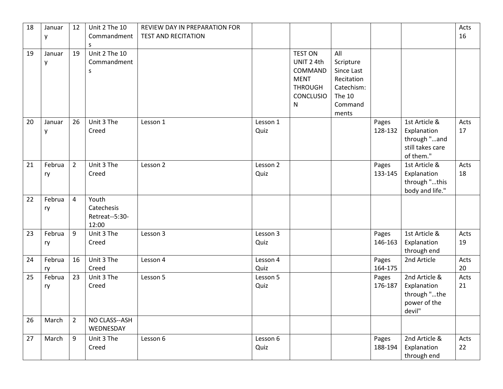| 18 | Januar<br>у  | 12             | Unit 2 The 10<br>Commandment<br>S              | REVIEW DAY IN PREPARATION FOR<br><b>TEST AND RECITATION</b> |                  |                                                                                                           |                                                                                                 |                  |                                                                               | Acts<br>16 |
|----|--------------|----------------|------------------------------------------------|-------------------------------------------------------------|------------------|-----------------------------------------------------------------------------------------------------------|-------------------------------------------------------------------------------------------------|------------------|-------------------------------------------------------------------------------|------------|
| 19 | Januar<br>у  | 19             | Unit 2 The 10<br>Commandment<br>S              |                                                             |                  | <b>TEST ON</b><br>UNIT 2 4th<br>COMMAND<br><b>MENT</b><br><b>THROUGH</b><br><b>CONCLUSIO</b><br>${\sf N}$ | All<br>Scripture<br>Since Last<br>Recitation<br>Catechism:<br><b>The 10</b><br>Command<br>ments |                  |                                                                               |            |
| 20 | Januar<br>у  | 26             | Unit 3 The<br>Creed                            | Lesson 1                                                    | Lesson 1<br>Quiz |                                                                                                           |                                                                                                 | Pages<br>128-132 | 1st Article &<br>Explanation<br>through "and<br>still takes care<br>of them." | Acts<br>17 |
| 21 | Februa<br>ry | $\overline{2}$ | Unit 3 The<br>Creed                            | Lesson 2                                                    | Lesson 2<br>Quiz |                                                                                                           |                                                                                                 | Pages<br>133-145 | 1st Article &<br>Explanation<br>through "this<br>body and life."              | Acts<br>18 |
| 22 | Februa<br>ry | $\overline{4}$ | Youth<br>Catechesis<br>Retreat--5:30-<br>12:00 |                                                             |                  |                                                                                                           |                                                                                                 |                  |                                                                               |            |
| 23 | Februa<br>ry | 9              | Unit 3 The<br>Creed                            | Lesson 3                                                    | Lesson 3<br>Quiz |                                                                                                           |                                                                                                 | Pages<br>146-163 | 1st Article &<br>Explanation<br>through end                                   | Acts<br>19 |
| 24 | Februa<br>ry | 16             | Unit 3 The<br>Creed                            | Lesson 4                                                    | Lesson 4<br>Quiz |                                                                                                           |                                                                                                 | Pages<br>164-175 | 2nd Article                                                                   | Acts<br>20 |
| 25 | Februa<br>ry | 23             | Unit 3 The<br>Creed                            | Lesson 5                                                    | Lesson 5<br>Quiz |                                                                                                           |                                                                                                 | Pages<br>176-187 | 2nd Article &<br>Explanation<br>through "the<br>power of the<br>devil"        | Acts<br>21 |
| 26 | March        | $\overline{2}$ | NO CLASS--ASH<br>WEDNESDAY                     |                                                             |                  |                                                                                                           |                                                                                                 |                  |                                                                               |            |
| 27 | March        | 9              | Unit 3 The<br>Creed                            | Lesson 6                                                    | Lesson 6<br>Quiz |                                                                                                           |                                                                                                 | Pages<br>188-194 | 2nd Article &<br>Explanation<br>through end                                   | Acts<br>22 |